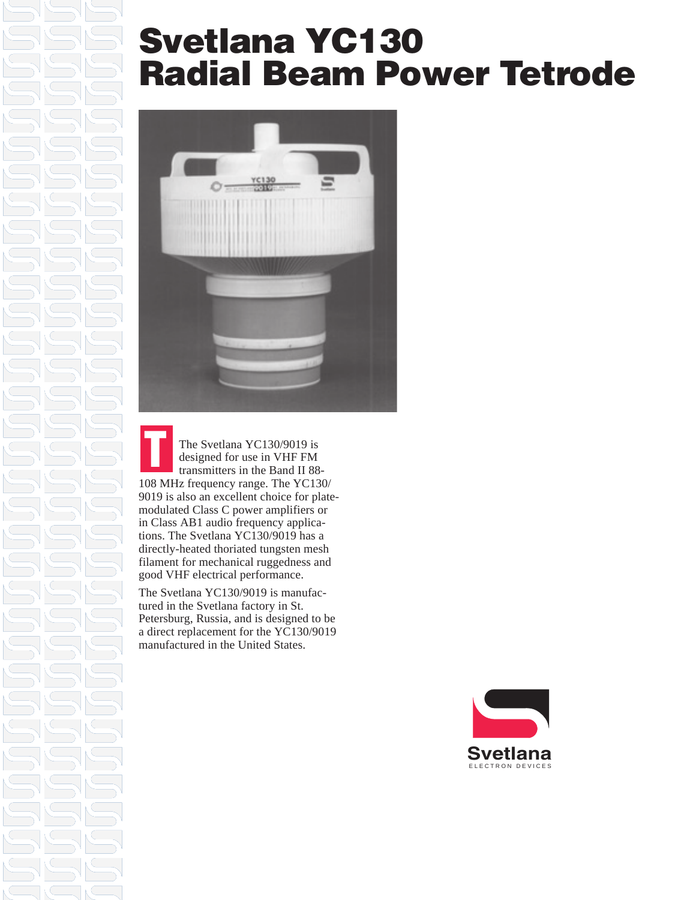### **Svetlana YC130 Radial Beam Power Tetrode**



**T** The Svetlana YC130/9019 is designed for use in VHF FM transmitters in the Band II 88- 108 MHz frequency range. The YC130/ 9019 is also an excellent choice for platemodulated Class C power amplifiers or in Class AB1 audio frequency applications. The Svetlana YC130/9019 has a directly-heated thoriated tungsten mesh filament for mechanical ruggedness and good VHF electrical performance.

The Svetlana YC130/9019 is manufactured in the Svetlana factory in St. Petersburg, Russia, and is designed to be a direct replacement for the YC130/9019 manufactured in the United States.

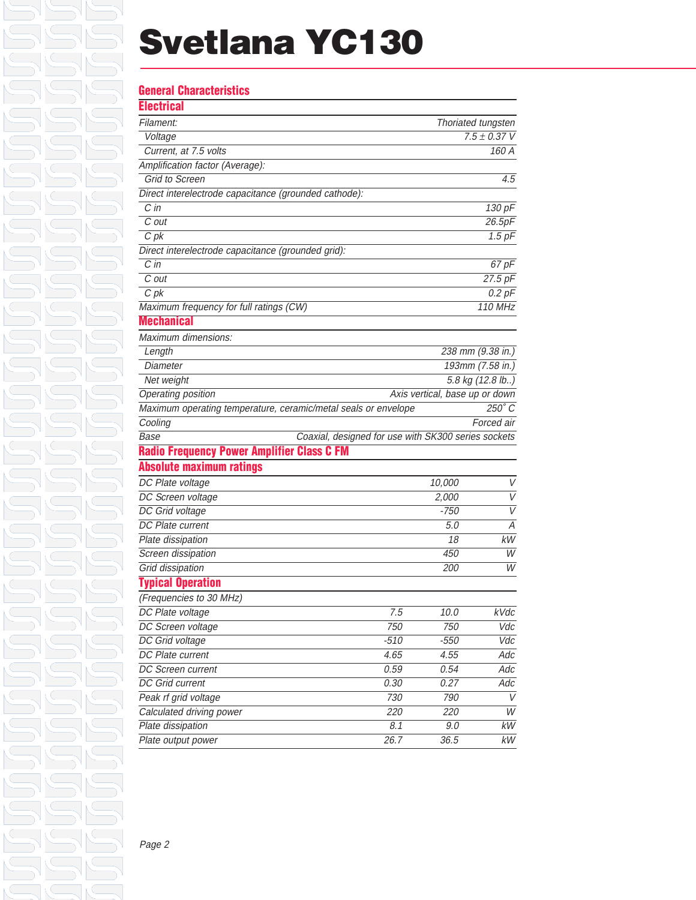### **Svetlana YC130**

### **General Characteristics**

| Filament:                                                                                                                                                                                                                                                                                                                                                                                                                    |                                                     |             | Thoriated tungsten                                                                     |
|------------------------------------------------------------------------------------------------------------------------------------------------------------------------------------------------------------------------------------------------------------------------------------------------------------------------------------------------------------------------------------------------------------------------------|-----------------------------------------------------|-------------|----------------------------------------------------------------------------------------|
| Voltage                                                                                                                                                                                                                                                                                                                                                                                                                      |                                                     |             | $7.5 \pm 0.37$ V                                                                       |
| Current, at 7.5 volts                                                                                                                                                                                                                                                                                                                                                                                                        |                                                     |             | 160 A                                                                                  |
| Amplification factor (Average):                                                                                                                                                                                                                                                                                                                                                                                              |                                                     |             |                                                                                        |
| <b>Grid to Screen</b>                                                                                                                                                                                                                                                                                                                                                                                                        |                                                     |             | 4.5                                                                                    |
| Direct interelectrode capacitance (grounded cathode):                                                                                                                                                                                                                                                                                                                                                                        |                                                     |             |                                                                                        |
| $\overline{C}$ in                                                                                                                                                                                                                                                                                                                                                                                                            |                                                     |             | 130 pF                                                                                 |
| C out                                                                                                                                                                                                                                                                                                                                                                                                                        |                                                     |             | 26.5pF                                                                                 |
| $C$ pk                                                                                                                                                                                                                                                                                                                                                                                                                       |                                                     |             | $1.5$ pF                                                                               |
| Direct interelectrode capacitance (grounded grid):                                                                                                                                                                                                                                                                                                                                                                           |                                                     |             |                                                                                        |
| $C$ in                                                                                                                                                                                                                                                                                                                                                                                                                       |                                                     |             | 67 pF                                                                                  |
| C out                                                                                                                                                                                                                                                                                                                                                                                                                        |                                                     |             | 27.5 pF                                                                                |
| C <sub>pk</sub>                                                                                                                                                                                                                                                                                                                                                                                                              |                                                     |             | $0.2$ $pF$                                                                             |
| Maximum frequency for full ratings (CW)                                                                                                                                                                                                                                                                                                                                                                                      |                                                     |             | <b>110 MHz</b>                                                                         |
| <b>Mechanical</b>                                                                                                                                                                                                                                                                                                                                                                                                            |                                                     |             |                                                                                        |
| Maximum dimensions:                                                                                                                                                                                                                                                                                                                                                                                                          |                                                     |             |                                                                                        |
| Length                                                                                                                                                                                                                                                                                                                                                                                                                       |                                                     |             | 238 mm (9.38 in.)                                                                      |
| Diameter                                                                                                                                                                                                                                                                                                                                                                                                                     |                                                     |             | 193mm (7.58 in.)                                                                       |
| Net weight                                                                                                                                                                                                                                                                                                                                                                                                                   |                                                     |             | 5.8 kg (12.8 lb)                                                                       |
| Operating position                                                                                                                                                                                                                                                                                                                                                                                                           | Axis vertical, base up or down                      |             |                                                                                        |
| Maximum operating temperature, ceramic/metal seals or envelope                                                                                                                                                                                                                                                                                                                                                               |                                                     |             | $250^\circ C$                                                                          |
|                                                                                                                                                                                                                                                                                                                                                                                                                              |                                                     |             |                                                                                        |
|                                                                                                                                                                                                                                                                                                                                                                                                                              |                                                     |             | Forced air                                                                             |
|                                                                                                                                                                                                                                                                                                                                                                                                                              |                                                     |             |                                                                                        |
|                                                                                                                                                                                                                                                                                                                                                                                                                              | Coaxial, designed for use with SK300 series sockets |             |                                                                                        |
| Base                                                                                                                                                                                                                                                                                                                                                                                                                         |                                                     |             |                                                                                        |
|                                                                                                                                                                                                                                                                                                                                                                                                                              |                                                     |             |                                                                                        |
|                                                                                                                                                                                                                                                                                                                                                                                                                              |                                                     | 10,000      |                                                                                        |
|                                                                                                                                                                                                                                                                                                                                                                                                                              |                                                     | 2,000       | V                                                                                      |
|                                                                                                                                                                                                                                                                                                                                                                                                                              |                                                     | $-750$      | V                                                                                      |
|                                                                                                                                                                                                                                                                                                                                                                                                                              |                                                     | 5.0         | $\overline{A}$                                                                         |
|                                                                                                                                                                                                                                                                                                                                                                                                                              |                                                     | 18          |                                                                                        |
|                                                                                                                                                                                                                                                                                                                                                                                                                              |                                                     | 450         |                                                                                        |
|                                                                                                                                                                                                                                                                                                                                                                                                                              |                                                     | <i>200</i>  |                                                                                        |
| <b>Typical Operation</b>                                                                                                                                                                                                                                                                                                                                                                                                     |                                                     |             |                                                                                        |
| (Frequencies to 30 MHz)                                                                                                                                                                                                                                                                                                                                                                                                      |                                                     |             |                                                                                        |
|                                                                                                                                                                                                                                                                                                                                                                                                                              | 7.5                                                 | 10.0        |                                                                                        |
|                                                                                                                                                                                                                                                                                                                                                                                                                              | 750                                                 | 750         |                                                                                        |
|                                                                                                                                                                                                                                                                                                                                                                                                                              | $-510$                                              | $-550$      |                                                                                        |
|                                                                                                                                                                                                                                                                                                                                                                                                                              | 4.65                                                | 4.55        |                                                                                        |
|                                                                                                                                                                                                                                                                                                                                                                                                                              | 0.59                                                | 0.54        |                                                                                        |
| DC Plate voltage                                                                                                                                                                                                                                                                                                                                                                                                             | 0.30                                                | 0.27        |                                                                                        |
|                                                                                                                                                                                                                                                                                                                                                                                                                              | 730                                                 | 790         | W<br>$k$ Vdc                                                                           |
| Calculated driving power                                                                                                                                                                                                                                                                                                                                                                                                     | 220                                                 | 220         |                                                                                        |
| Cooling<br><b>Radio Frequency Power Amplifier Class C FM</b><br><b>Absolute maximum ratings</b><br>DC Plate voltage<br>DC Screen voltage<br>DC Grid voltage<br>DC Plate current<br>Plate dissipation<br>Screen dissipation<br>Grid dissipation<br>DC Screen voltage<br>DC Grid voltage<br>DC Plate current<br>DC Screen current<br><b>DC</b> Grid current<br>Peak rf grid voltage<br>Plate dissipation<br>Plate output power | 8.1<br>26.7                                         | 9.0<br>36.5 | V<br>kW<br>W<br>Vdc<br>Vdc<br>Adc<br>Adc<br>Adc<br>V<br>$\overline{W}$<br>$kW$<br>$kW$ |

Page 2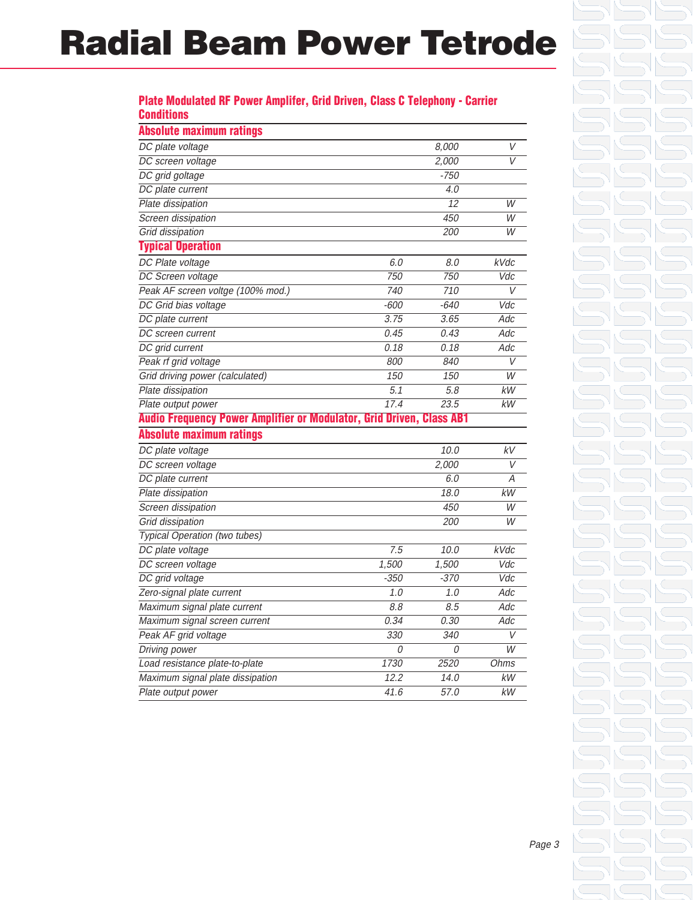### **Radial Beam Power Tetrode**

#### **Plate Modulated RF Power Amplifer, Grid Driven, Class C Telephony - Carrier Conditions**

| <b>Absolute maximum ratings</b>                                      |        |        |                  |
|----------------------------------------------------------------------|--------|--------|------------------|
| DC plate voltage                                                     |        | 8.000  | V                |
| DC screen voltage                                                    |        | 2,000  | V                |
| DC grid goltage                                                      |        | $-750$ |                  |
| DC plate current                                                     |        | 4.0    |                  |
| Plate dissipation                                                    |        | 12     | W                |
| Screen dissipation                                                   |        | 450    | W                |
| Grid dissipation                                                     |        | 200    | W                |
| <b>Typical Operation</b>                                             |        |        |                  |
| DC Plate voltage                                                     | 6.0    | 8.0    | kVdc             |
| DC Screen voltage                                                    | 750    | 750    | Vdc              |
| Peak AF screen voltge (100% mod.)                                    | 740    | 710    | $\vee$           |
| DC Grid bias voltage                                                 | $-600$ | $-640$ | Vdc              |
| DC plate current                                                     | 3.75   | 3.65   | Adc              |
| DC screen current                                                    | 0.45   | 0.43   | Adc              |
| DC grid current                                                      | 0.18   | 0.18   | Adc              |
| Peak rf grid voltage                                                 | 800    | 840    | V                |
| Grid driving power (calculated)                                      | 150    | 150    | W                |
| Plate dissipation                                                    | 5.1    | 5.8    | kW               |
| Plate output power                                                   | 17.4   | 23.5   | kW               |
| Audio Frequency Power Amplifier or Modulator, Grid Driven, Class AB1 |        |        |                  |
| <b>Absolute maximum ratings</b>                                      |        |        |                  |
| DC plate voltage                                                     |        | 10.0   | kV               |
| DC screen voltage                                                    |        | 2,000  | V                |
| DC plate current                                                     |        | 6.0    | Α                |
| Plate dissipation                                                    |        | 18.0   | <b>kW</b>        |
| Screen dissipation                                                   |        | 450    | W                |
| Grid dissipation                                                     |        | 200    | W                |
| <b>Typical Operation (two tubes)</b>                                 |        |        |                  |
| DC plate voltage                                                     | 7.5    | 10.0   | <b>kVdc</b>      |
| DC screen voltage                                                    | 1,500  | 1,500  | $\overline{Vdc}$ |
| DC grid voltage                                                      | $-350$ | $-370$ | Vdc              |
| Zero-signal plate current                                            | 1.0    | 1.0    | Adc              |
| Maximum signal plate current                                         | 8.8    | 8.5    | Adc              |
| Maximum signal screen current                                        | 0.34   | 0.30   | Adc              |
| Peak AF grid voltage                                                 | 330    | 340    | V                |
| Driving power                                                        | 0      | 0      | $\overline{W}$   |
| Load resistance plate-to-plate                                       | 1730   | 2520   | <b>Ohms</b>      |
| Maximum signal plate dissipation                                     | 12.2   | 14.0   | <b>kW</b>        |
| Plate output power                                                   | 41.6   | 57.0   | kW               |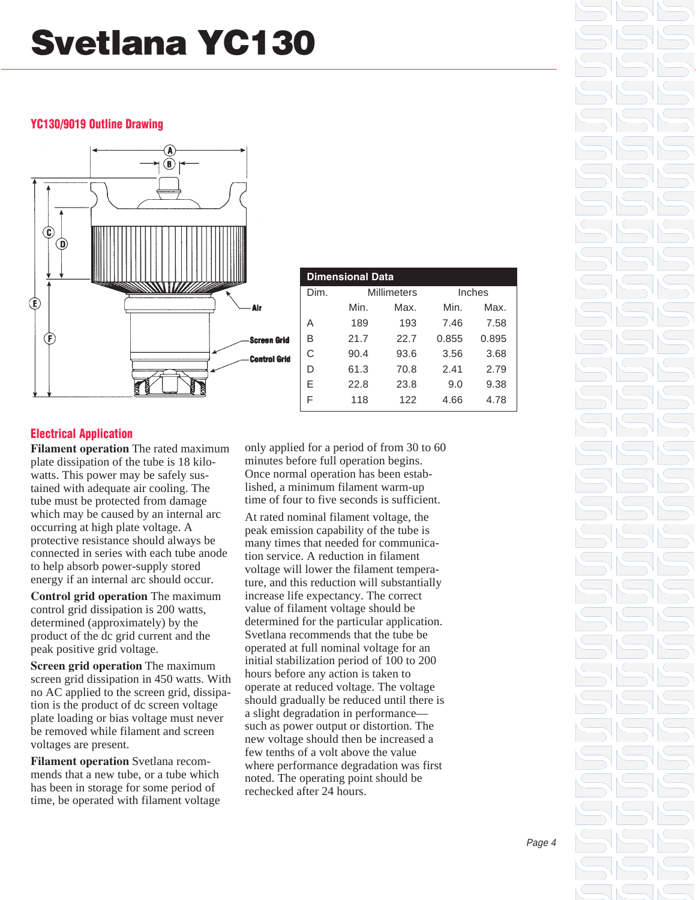# **Svetlana YC130**

#### **YC130/9019 Outline Drawing**



| <b>Dimensional Data</b> |             |      |        |       |  |  |  |
|-------------------------|-------------|------|--------|-------|--|--|--|
| Dim.                    | Millimeters |      | Inches |       |  |  |  |
|                         | Min.        | Max. | Min.   | Max.  |  |  |  |
| А                       | 189         | 193  | 7.46   | 7.58  |  |  |  |
| В                       | 21.7        | 22.7 | 0.855  | 0.895 |  |  |  |
| C                       | 90.4        | 93.6 | 3.56   | 3.68  |  |  |  |
| D                       | 61.3        | 70.8 | 2.41   | 2.79  |  |  |  |
| E                       | 22.8        | 23.8 | 9.0    | 9.38  |  |  |  |
| F                       | 118         | 122  | 4.66   | 4.78  |  |  |  |

#### **Electrical Application**

**Filament operation** The rated maximum plate dissipation of the tube is 18 kilowatts. This power may be safely sustained with adequate air cooling. The tube must be protected from damage which may be caused by an internal arc occurring at high plate voltage. A protective resistance should always be connected in series with each tube anode to help absorb power-supply stored energy if an internal arc should occur.

**Control grid operation** The maximum control grid dissipation is 200 watts, determined (approximately) by the product of the dc grid current and the peak positive grid voltage.

**Screen grid operation** The maximum screen grid dissipation in 450 watts. With no AC applied to the screen grid, dissipation is the product of dc screen voltage plate loading or bias voltage must never be removed while filament and screen voltages are present.

**Filament operation** Svetlana recommends that a new tube, or a tube which has been in storage for some period of time, be operated with filament voltage only applied for a period of from 30 to 60 minutes before full operation begins. Once normal operation has been established, a minimum filament warm-up time of four to five seconds is sufficient.

At rated nominal filament voltage, the peak emission capability of the tube is many times that needed for communication service. A reduction in filament voltage will lower the filament temperature, and this reduction will substantially increase life expectancy. The correct value of filament voltage should be determined for the particular application. Svetlana recommends that the tube be operated at full nominal voltage for an initial stabilization period of 100 to 200 hours before any action is taken to operate at reduced voltage. The voltage should gradually be reduced until there is a slight degradation in performance such as power output or distortion. The new voltage should then be increased a few tenths of a volt above the value where performance degradation was first noted. The operating point should be rechecked after 24 hours.